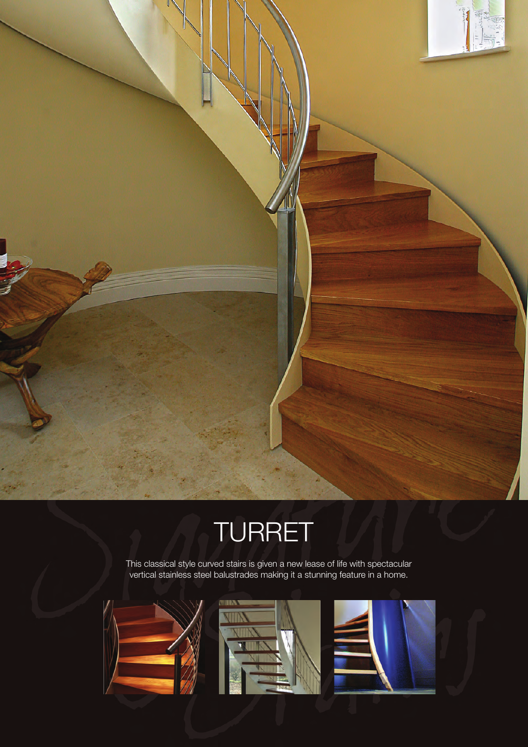

This classical style curved stairs is given a new lease of life with spectacular vertical stainless steel balustrades making it a stunning feature in a home.